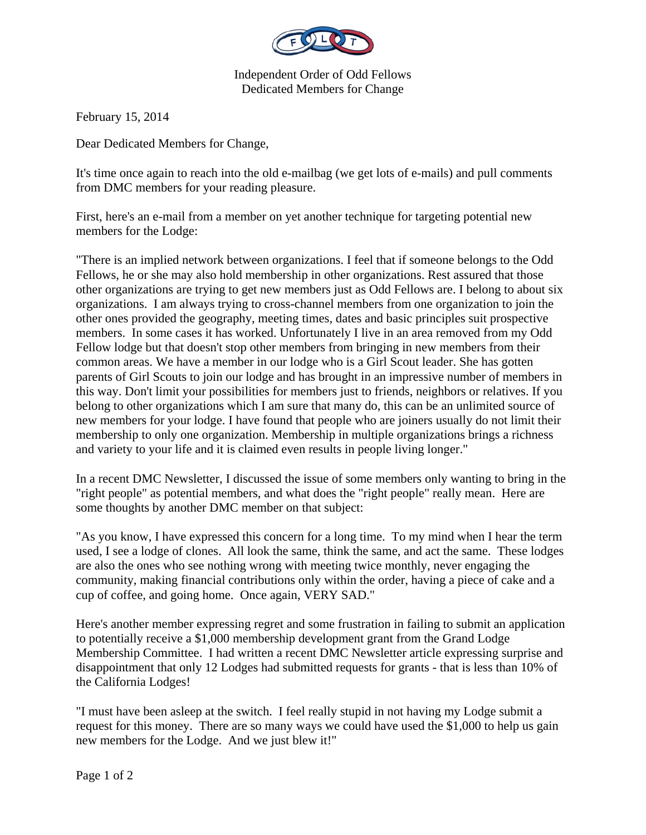

Independent Order of Odd Fellows Dedicated Members for Change

February 15, 2014

Dear Dedicated Members for Change,

It's time once again to reach into the old e-mailbag (we get lots of e-mails) and pull comments from DMC members for your reading pleasure.

First, here's an e-mail from a member on yet another technique for targeting potential new members for the Lodge:

"There is an implied network between organizations. I feel that if someone belongs to the Odd Fellows, he or she may also hold membership in other organizations. Rest assured that those other organizations are trying to get new members just as Odd Fellows are. I belong to about six organizations. I am always trying to cross-channel members from one organization to join the other ones provided the geography, meeting times, dates and basic principles suit prospective members. In some cases it has worked. Unfortunately I live in an area removed from my Odd Fellow lodge but that doesn't stop other members from bringing in new members from their common areas. We have a member in our lodge who is a Girl Scout leader. She has gotten parents of Girl Scouts to join our lodge and has brought in an impressive number of members in this way. Don't limit your possibilities for members just to friends, neighbors or relatives. If you belong to other organizations which I am sure that many do, this can be an unlimited source of new members for your lodge. I have found that people who are joiners usually do not limit their membership to only one organization. Membership in multiple organizations brings a richness and variety to your life and it is claimed even results in people living longer."

In a recent DMC Newsletter, I discussed the issue of some members only wanting to bring in the "right people" as potential members, and what does the "right people" really mean. Here are some thoughts by another DMC member on that subject:

"As you know, I have expressed this concern for a long time. To my mind when I hear the term used, I see a lodge of clones. All look the same, think the same, and act the same. These lodges are also the ones who see nothing wrong with meeting twice monthly, never engaging the community, making financial contributions only within the order, having a piece of cake and a cup of coffee, and going home. Once again, VERY SAD."

Here's another member expressing regret and some frustration in failing to submit an application to potentially receive a \$1,000 membership development grant from the Grand Lodge Membership Committee. I had written a recent DMC Newsletter article expressing surprise and disappointment that only 12 Lodges had submitted requests for grants - that is less than 10% of the California Lodges!

"I must have been asleep at the switch. I feel really stupid in not having my Lodge submit a request for this money. There are so many ways we could have used the \$1,000 to help us gain new members for the Lodge. And we just blew it!"